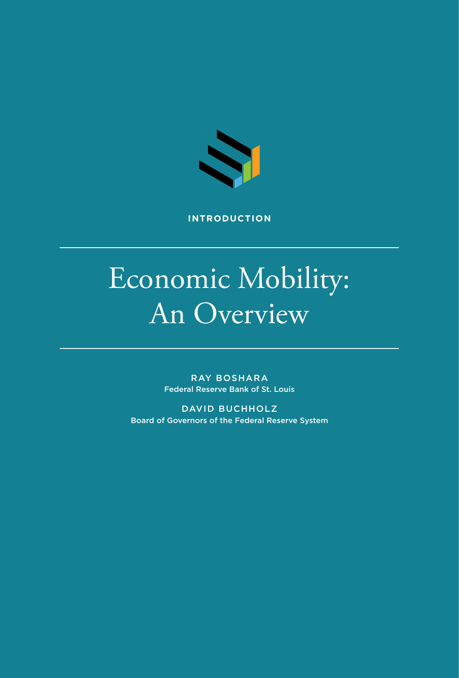

**INTRODUCTION**

# Economic Mobility: An Overview

RAY BOSHARA Federal Reserve Bank of St. Louis

DAVID BUCHHOLZ Board of Governors of the Federal Reserve System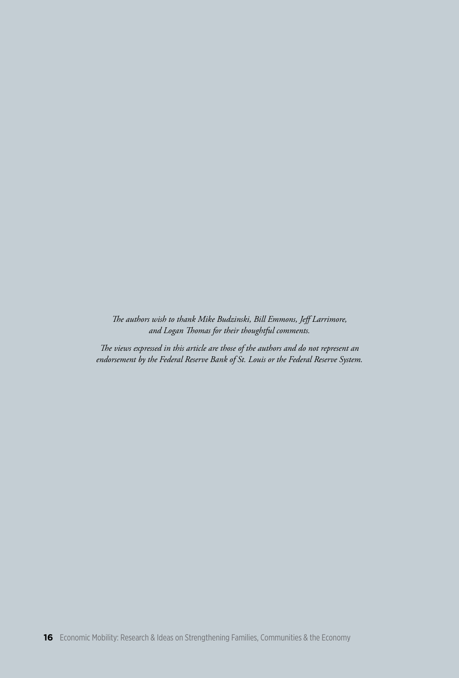*The authors wish to thank Mike Budzinski, Bill Emmons, Jeff Larrimore, and Logan Thomas for their thoughtful comments.*

*The views expressed in this article are those of the authors and do not represent an endorsement by the Federal Reserve Bank of St. Louis or the Federal Reserve System.*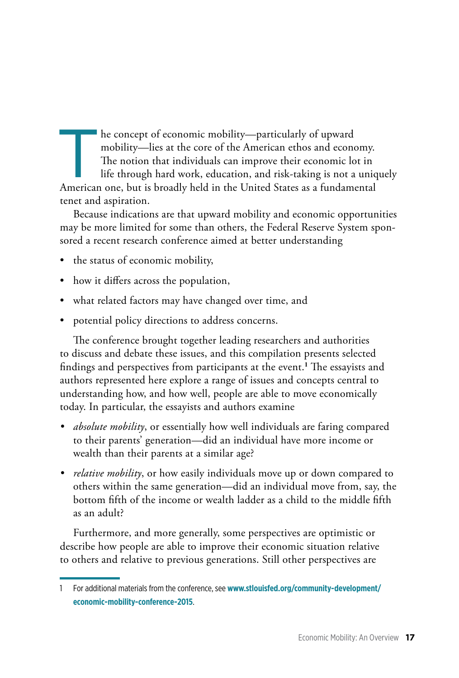The concept of economic mobility—particularly of upward<br>mobility—lies at the core of the American ethos and economic<br>The notion that individuals can improve their economic lo<br>life through hard work, education, and risk-tak mobility—lies at the core of the American ethos and economy. The notion that individuals can improve their economic lot in life through hard work, education, and risk-taking is not a uniquely American one, but is broadly held in the United States as a fundamental tenet and aspiration.

Because indications are that upward mobility and economic opportunities may be more limited for some than others, the Federal Reserve System sponsored a recent research conference aimed at better understanding

- the status of economic mobility,
- how it differs across the population,
- what related factors may have changed over time, and
- potential policy directions to address concerns.

The conference brought together leading researchers and authorities to discuss and debate these issues, and this compilation presents selected findings and perspectives from participants at the event.**1** The essayists and authors represented here explore a range of issues and concepts central to understanding how, and how well, people are able to move economically today. In particular, the essayists and authors examine

- *• absolute mobility*, or essentially how well individuals are faring compared to their parents' generation—did an individual have more income or wealth than their parents at a similar age?
- *• relative mobility*, or how easily individuals move up or down compared to others within the same generation—did an individual move from, say, the bottom fifth of the income or wealth ladder as a child to the middle fifth as an adult?

Furthermore, and more generally, some perspectives are optimistic or describe how people are able to improve their economic situation relative to others and relative to previous generations. Still other perspectives are

<sup>1</sup> [For additional materials from the conference, see](https://www.stlouisfed.org/community-development/economic-mobility-conference-2015) **www.stlouisfed.org/community-development/ economic-mobility-conference-2015**.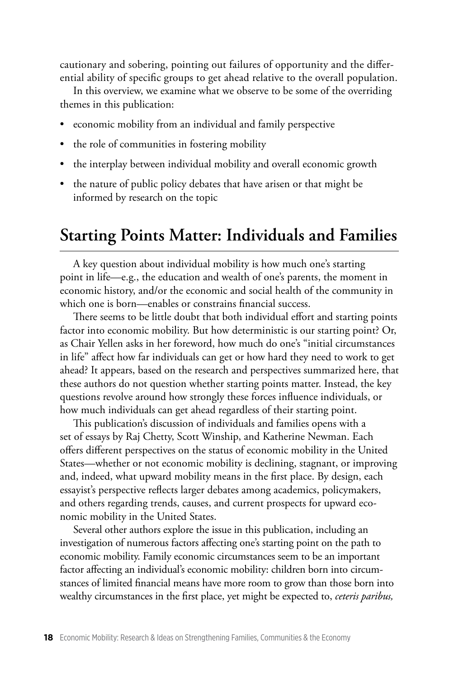cautionary and sobering, pointing out failures of opportunity and the differential ability of specific groups to get ahead relative to the overall population.

In this overview, we examine what we observe to be some of the overriding themes in this publication:

- economic mobility from an individual and family perspective
- the role of communities in fostering mobility
- the interplay between individual mobility and overall economic growth
- the nature of public policy debates that have arisen or that might be informed by research on the topic

### **Starting Points Matter: Individuals and Families**

A key question about individual mobility is how much one's starting point in life—e.g., the education and wealth of one's parents, the moment in economic history, and/or the economic and social health of the community in which one is born—enables or constrains financial success.

There seems to be little doubt that both individual effort and starting points factor into economic mobility. But how deterministic is our starting point? Or, as Chair Yellen asks in her foreword, how much do one's "initial circumstances in life" affect how far individuals can get or how hard they need to work to get ahead? It appears, based on the research and perspectives summarized here, that these authors do not question whether starting points matter. Instead, the key questions revolve around how strongly these forces influence individuals, or how much individuals can get ahead regardless of their starting point.

This publication's discussion of individuals and families opens with a set of essays by Raj Chetty, Scott Winship, and Katherine Newman. Each offers different perspectives on the status of economic mobility in the United States—whether or not economic mobility is declining, stagnant, or improving and, indeed, what upward mobility means in the first place. By design, each essayist's perspective reflects larger debates among academics, policymakers, and others regarding trends, causes, and current prospects for upward economic mobility in the United States.

Several other authors explore the issue in this publication, including an investigation of numerous factors affecting one's starting point on the path to economic mobility. Family economic circumstances seem to be an important factor affecting an individual's economic mobility: children born into circumstances of limited financial means have more room to grow than those born into wealthy circumstances in the first place, yet might be expected to, *ceteris paribus,*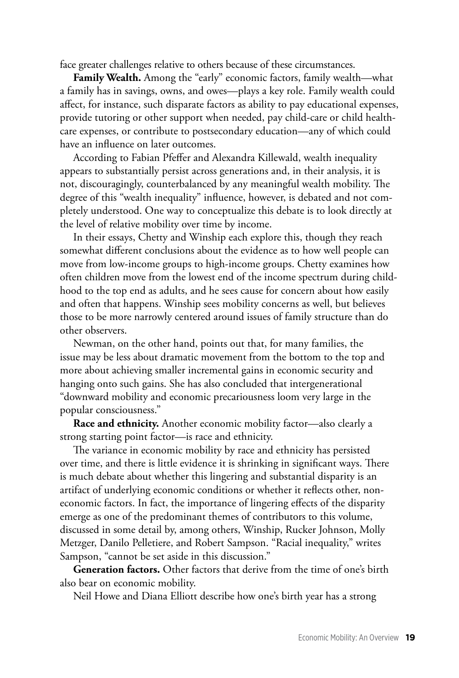face greater challenges relative to others because of these circumstances.

**Family Wealth.** Among the "early" economic factors, family wealth—what a family has in savings, owns, and owes—plays a key role. Family wealth could affect, for instance, such disparate factors as ability to pay educational expenses, provide tutoring or other support when needed, pay child-care or child healthcare expenses, or contribute to postsecondary education—any of which could have an influence on later outcomes.

According to Fabian Pfeffer and Alexandra Killewald, wealth inequality appears to substantially persist across generations and, in their analysis, it is not, discouragingly, counterbalanced by any meaningful wealth mobility. The degree of this "wealth inequality" influence, however, is debated and not completely understood. One way to conceptualize this debate is to look directly at the level of relative mobility over time by income.

In their essays, Chetty and Winship each explore this, though they reach somewhat different conclusions about the evidence as to how well people can move from low-income groups to high-income groups. Chetty examines how often children move from the lowest end of the income spectrum during childhood to the top end as adults, and he sees cause for concern about how easily and often that happens. Winship sees mobility concerns as well, but believes those to be more narrowly centered around issues of family structure than do other observers.

Newman, on the other hand, points out that, for many families, the issue may be less about dramatic movement from the bottom to the top and more about achieving smaller incremental gains in economic security and hanging onto such gains. She has also concluded that intergenerational "downward mobility and economic precariousness loom very large in the popular consciousness."

**Race and ethnicity.** Another economic mobility factor—also clearly a strong starting point factor—is race and ethnicity.

The variance in economic mobility by race and ethnicity has persisted over time, and there is little evidence it is shrinking in significant ways. There is much debate about whether this lingering and substantial disparity is an artifact of underlying economic conditions or whether it reflects other, noneconomic factors. In fact, the importance of lingering effects of the disparity emerge as one of the predominant themes of contributors to this volume, discussed in some detail by, among others, Winship, Rucker Johnson, Molly Metzger, Danilo Pelletiere, and Robert Sampson. "Racial inequality," writes Sampson, "cannot be set aside in this discussion."

**Generation factors.** Other factors that derive from the time of one's birth also bear on economic mobility.

Neil Howe and Diana Elliott describe how one's birth year has a strong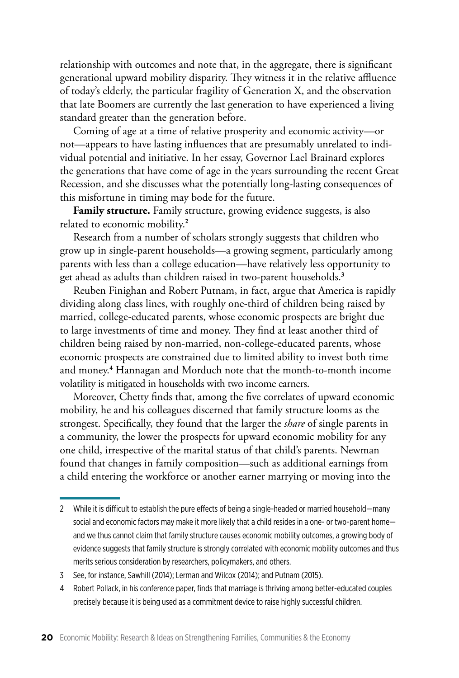relationship with outcomes and note that, in the aggregate, there is significant generational upward mobility disparity. They witness it in the relative affluence of today's elderly, the particular fragility of Generation X, and the observation that late Boomers are currently the last generation to have experienced a living standard greater than the generation before.

Coming of age at a time of relative prosperity and economic activity—or not—appears to have lasting influences that are presumably unrelated to individual potential and initiative. In her essay, Governor Lael Brainard explores the generations that have come of age in the years surrounding the recent Great Recession, and she discusses what the potentially long-lasting consequences of this misfortune in timing may bode for the future.

**Family structure.** Family structure, growing evidence suggests, is also related to economic mobility.**2**

Research from a number of scholars strongly suggests that children who grow up in single-parent households—a growing segment, particularly among parents with less than a college education—have relatively less opportunity to get ahead as adults than children raised in two-parent households.**3**

Reuben Finighan and Robert Putnam, in fact, argue that America is rapidly dividing along class lines, with roughly one-third of children being raised by married, college-educated parents, whose economic prospects are bright due to large investments of time and money. They find at least another third of children being raised by non-married, non-college-educated parents, whose economic prospects are constrained due to limited ability to invest both time and money.**4** Hannagan and Morduch note that the month-to-month income volatility is mitigated in households with two income earners.

Moreover, Chetty finds that, among the five correlates of upward economic mobility, he and his colleagues discerned that family structure looms as the strongest. Specifically, they found that the larger the *share* of single parents in a community, the lower the prospects for upward economic mobility for any one child, irrespective of the marital status of that child's parents. Newman found that changes in family composition—such as additional earnings from a child entering the workforce or another earner marrying or moving into the

<sup>2</sup> While it is difficult to establish the pure effects of being a single-headed or married household—many social and economic factors may make it more likely that a child resides in a one- or two-parent home and we thus cannot claim that family structure causes economic mobility outcomes, a growing body of evidence suggests that family structure is strongly correlated with economic mobility outcomes and thus merits serious consideration by researchers, policymakers, and others.

<sup>3</sup> See, for instance, Sawhill (2014); Lerman and Wilcox (2014); and Putnam (2015).

<sup>4</sup> Robert Pollack, in his conference paper, finds that marriage is thriving among better-educated couples precisely because it is being used as a commitment device to raise highly successful children.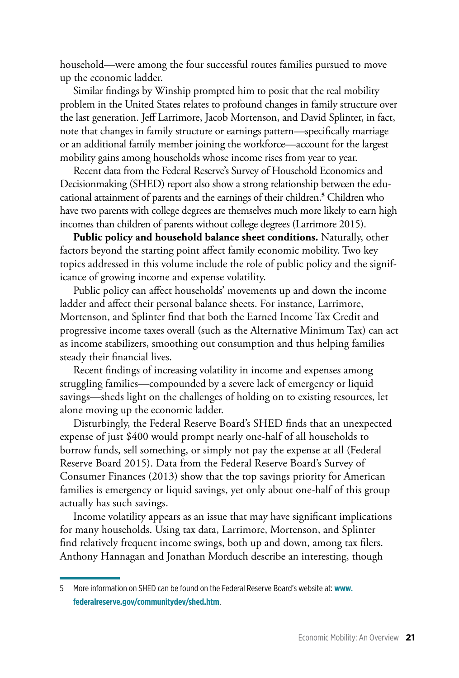household—were among the four successful routes families pursued to move up the economic ladder.

Similar findings by Winship prompted him to posit that the real mobility problem in the United States relates to profound changes in family structure over the last generation. Jeff Larrimore, Jacob Mortenson, and David Splinter, in fact, note that changes in family structure or earnings pattern—specifically marriage or an additional family member joining the workforce—account for the largest mobility gains among households whose income rises from year to year.

Recent data from the Federal Reserve's Survey of Household Economics and Decisionmaking (SHED) report also show a strong relationship between the educational attainment of parents and the earnings of their children.**5** Children who have two parents with college degrees are themselves much more likely to earn high incomes than children of parents without college degrees (Larrimore 2015).

**Public policy and household balance sheet conditions.** Naturally, other factors beyond the starting point affect family economic mobility. Two key topics addressed in this volume include the role of public policy and the significance of growing income and expense volatility.

Public policy can affect households' movements up and down the income ladder and affect their personal balance sheets. For instance, Larrimore, Mortenson, and Splinter find that both the Earned Income Tax Credit and progressive income taxes overall (such as the Alternative Minimum Tax) can act as income stabilizers, smoothing out consumption and thus helping families steady their financial lives.

Recent findings of increasing volatility in income and expenses among struggling families—compounded by a severe lack of emergency or liquid savings—sheds light on the challenges of holding on to existing resources, let alone moving up the economic ladder.

Disturbingly, the Federal Reserve Board's SHED finds that an unexpected expense of just \$400 would prompt nearly one-half of all households to borrow funds, sell something, or simply not pay the expense at all (Federal Reserve Board 2015). Data from the Federal Reserve Board's Survey of Consumer Finances (2013) show that the top savings priority for American families is emergency or liquid savings, yet only about one-half of this group actually has such savings.

Income volatility appears as an issue that may have significant implications for many households. Using tax data, Larrimore, Mortenson, and Splinter find relatively frequent income swings, both up and down, among tax filers. Anthony Hannagan and Jonathan Morduch describe an interesting, though

<sup>5</sup> [More information on SHED can be found on the Federal Reserve Board's website at:](https://www.federalreserve.gov/communitydev/shed.htm) **www. federalreserve.gov/communitydev/shed.htm**.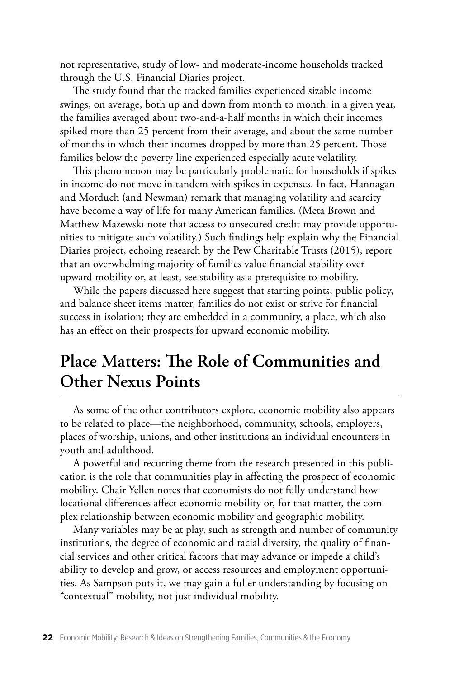not representative, study of low- and moderate-income households tracked through the U.S. Financial Diaries project.

The study found that the tracked families experienced sizable income swings, on average, both up and down from month to month: in a given year, the families averaged about two-and-a-half months in which their incomes spiked more than 25 percent from their average, and about the same number of months in which their incomes dropped by more than 25 percent. Those families below the poverty line experienced especially acute volatility.

This phenomenon may be particularly problematic for households if spikes in income do not move in tandem with spikes in expenses. In fact, Hannagan and Morduch (and Newman) remark that managing volatility and scarcity have become a way of life for many American families. (Meta Brown and Matthew Mazewski note that access to unsecured credit may provide opportunities to mitigate such volatility.) Such findings help explain why the Financial Diaries project, echoing research by the Pew Charitable Trusts (2015), report that an overwhelming majority of families value financial stability over upward mobility or, at least, see stability as a prerequisite to mobility.

While the papers discussed here suggest that starting points, public policy, and balance sheet items matter, families do not exist or strive for financial success in isolation; they are embedded in a community, a place, which also has an effect on their prospects for upward economic mobility.

# **Place Matters: The Role of Communities and Other Nexus Points**

As some of the other contributors explore, economic mobility also appears to be related to place—the neighborhood, community, schools, employers, places of worship, unions, and other institutions an individual encounters in youth and adulthood.

A powerful and recurring theme from the research presented in this publication is the role that communities play in affecting the prospect of economic mobility. Chair Yellen notes that economists do not fully understand how locational differences affect economic mobility or, for that matter, the complex relationship between economic mobility and geographic mobility.

Many variables may be at play, such as strength and number of community institutions, the degree of economic and racial diversity, the quality of financial services and other critical factors that may advance or impede a child's ability to develop and grow, or access resources and employment opportunities. As Sampson puts it, we may gain a fuller understanding by focusing on "contextual" mobility, not just individual mobility.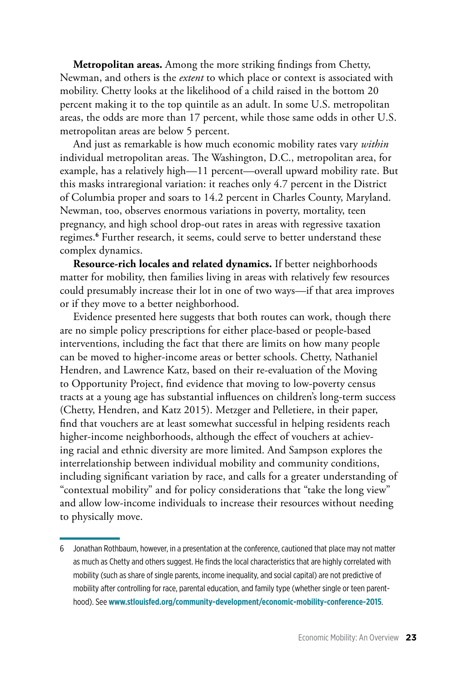**Metropolitan areas.** Among the more striking findings from Chetty, Newman, and others is the *extent* to which place or context is associated with mobility. Chetty looks at the likelihood of a child raised in the bottom 20 percent making it to the top quintile as an adult. In some U.S. metropolitan areas, the odds are more than 17 percent, while those same odds in other U.S. metropolitan areas are below 5 percent.

And just as remarkable is how much economic mobility rates vary *within* individual metropolitan areas. The Washington, D.C., metropolitan area, for example, has a relatively high—11 percent—overall upward mobility rate. But this masks intraregional variation: it reaches only 4.7 percent in the District of Columbia proper and soars to 14.2 percent in Charles County, Maryland. Newman, too, observes enormous variations in poverty, mortality, teen pregnancy, and high school drop-out rates in areas with regressive taxation regimes.**6** Further research, it seems, could serve to better understand these complex dynamics.

**Resource-rich locales and related dynamics.** If better neighborhoods matter for mobility, then families living in areas with relatively few resources could presumably increase their lot in one of two ways—if that area improves or if they move to a better neighborhood.

Evidence presented here suggests that both routes can work, though there are no simple policy prescriptions for either place-based or people-based interventions, including the fact that there are limits on how many people can be moved to higher-income areas or better schools. Chetty, Nathaniel Hendren, and Lawrence Katz, based on their re-evaluation of the Moving to Opportunity Project, find evidence that moving to low-poverty census tracts at a young age has substantial influences on children's long-term success (Chetty, Hendren, and Katz 2015). Metzger and Pelletiere, in their paper, find that vouchers are at least somewhat successful in helping residents reach higher-income neighborhoods, although the effect of vouchers at achieving racial and ethnic diversity are more limited. And Sampson explores the interrelationship between individual mobility and community conditions, including significant variation by race, and calls for a greater understanding of "contextual mobility" and for policy considerations that "take the long view" and allow low-income individuals to increase their resources without needing to physically move.

<sup>6</sup> Jonathan Rothbaum, however, in a presentation at the conference, cautioned that place may not matter as much as Chetty and others suggest. He finds the local characteristics that are highly correlated with mobility (such as share of single parents, income inequality, and social capital) are not predictive of mobility after controlling for race, parental education, and family type (whether single or teen parenthood). See **[www.stlouisfed.org/community-development/economic-mobility-conference-2015](https://www.stlouisfed.org/community-development/economic-mobility-conference-2015)**.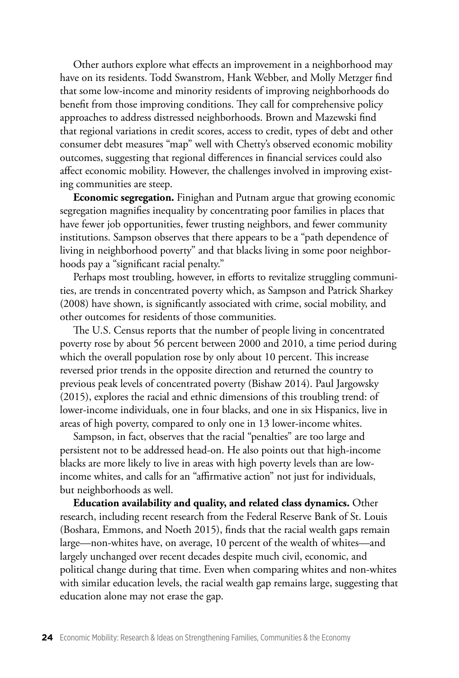Other authors explore what effects an improvement in a neighborhood may have on its residents. Todd Swanstrom, Hank Webber, and Molly Metzger find that some low-income and minority residents of improving neighborhoods do benefit from those improving conditions. They call for comprehensive policy approaches to address distressed neighborhoods. Brown and Mazewski find that regional variations in credit scores, access to credit, types of debt and other consumer debt measures "map" well with Chetty's observed economic mobility outcomes, suggesting that regional differences in financial services could also affect economic mobility. However, the challenges involved in improving existing communities are steep.

**Economic segregation.** Finighan and Putnam argue that growing economic segregation magnifies inequality by concentrating poor families in places that have fewer job opportunities, fewer trusting neighbors, and fewer community institutions. Sampson observes that there appears to be a "path dependence of living in neighborhood poverty" and that blacks living in some poor neighborhoods pay a "significant racial penalty."

Perhaps most troubling, however, in efforts to revitalize struggling communities, are trends in concentrated poverty which, as Sampson and Patrick Sharkey (2008) have shown, is significantly associated with crime, social mobility, and other outcomes for residents of those communities.

The U.S. Census reports that the number of people living in concentrated poverty rose by about 56 percent between 2000 and 2010, a time period during which the overall population rose by only about 10 percent. This increase reversed prior trends in the opposite direction and returned the country to previous peak levels of concentrated poverty (Bishaw 2014). Paul Jargowsky (2015), explores the racial and ethnic dimensions of this troubling trend: of lower-income individuals, one in four blacks, and one in six Hispanics, live in areas of high poverty, compared to only one in 13 lower-income whites.

Sampson, in fact, observes that the racial "penalties" are too large and persistent not to be addressed head-on. He also points out that high-income blacks are more likely to live in areas with high poverty levels than are lowincome whites, and calls for an "affirmative action" not just for individuals, but neighborhoods as well.

**Education availability and quality, and related class dynamics.** Other research, including recent research from the Federal Reserve Bank of St. Louis (Boshara, Emmons, and Noeth 2015), finds that the racial wealth gaps remain large—non-whites have, on average, 10 percent of the wealth of whites—and largely unchanged over recent decades despite much civil, economic, and political change during that time. Even when comparing whites and non-whites with similar education levels, the racial wealth gap remains large, suggesting that education alone may not erase the gap.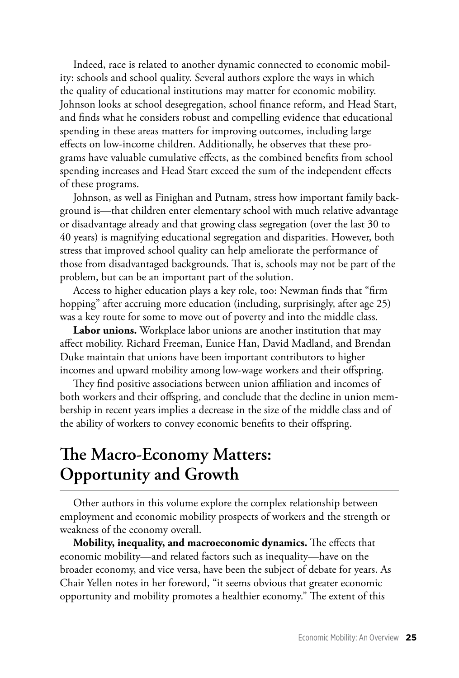Indeed, race is related to another dynamic connected to economic mobility: schools and school quality. Several authors explore the ways in which the quality of educational institutions may matter for economic mobility. Johnson looks at school desegregation, school finance reform, and Head Start, and finds what he considers robust and compelling evidence that educational spending in these areas matters for improving outcomes, including large effects on low-income children. Additionally, he observes that these programs have valuable cumulative effects, as the combined benefits from school spending increases and Head Start exceed the sum of the independent effects of these programs.

Johnson, as well as Finighan and Putnam, stress how important family background is—that children enter elementary school with much relative advantage or disadvantage already and that growing class segregation (over the last 30 to 40 years) is magnifying educational segregation and disparities. However, both stress that improved school quality can help ameliorate the performance of those from disadvantaged backgrounds. That is, schools may not be part of the problem, but can be an important part of the solution.

Access to higher education plays a key role, too: Newman finds that "firm hopping" after accruing more education (including, surprisingly, after age 25) was a key route for some to move out of poverty and into the middle class.

**Labor unions.** Workplace labor unions are another institution that may affect mobility. Richard Freeman, Eunice Han, David Madland, and Brendan Duke maintain that unions have been important contributors to higher incomes and upward mobility among low-wage workers and their offspring.

They find positive associations between union affiliation and incomes of both workers and their offspring, and conclude that the decline in union membership in recent years implies a decrease in the size of the middle class and of the ability of workers to convey economic benefits to their offspring.

## **The Macro-Economy Matters: Opportunity and Growth**

Other authors in this volume explore the complex relationship between employment and economic mobility prospects of workers and the strength or weakness of the economy overall.

**Mobility, inequality, and macroeconomic dynamics.** The effects that economic mobility—and related factors such as inequality—have on the broader economy, and vice versa, have been the subject of debate for years. As Chair Yellen notes in her foreword, "it seems obvious that greater economic opportunity and mobility promotes a healthier economy." The extent of this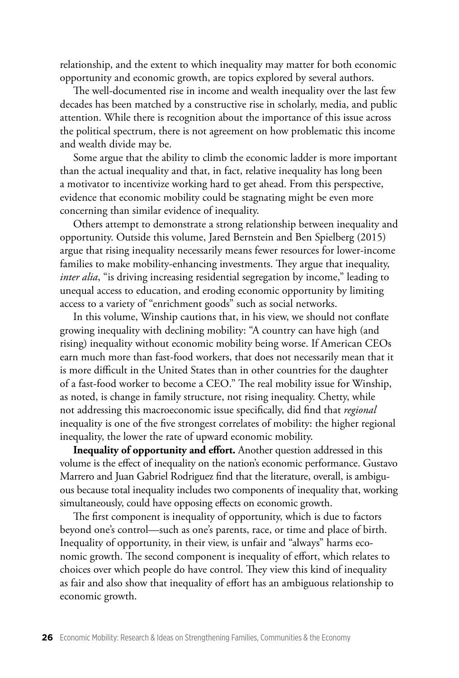relationship, and the extent to which inequality may matter for both economic opportunity and economic growth, are topics explored by several authors.

The well-documented rise in income and wealth inequality over the last few decades has been matched by a constructive rise in scholarly, media, and public attention. While there is recognition about the importance of this issue across the political spectrum, there is not agreement on how problematic this income and wealth divide may be.

Some argue that the ability to climb the economic ladder is more important than the actual inequality and that, in fact, relative inequality has long been a motivator to incentivize working hard to get ahead. From this perspective, evidence that economic mobility could be stagnating might be even more concerning than similar evidence of inequality.

Others attempt to demonstrate a strong relationship between inequality and opportunity. Outside this volume, Jared Bernstein and Ben Spielberg (2015) argue that rising inequality necessarily means fewer resources for lower-income families to make mobility-enhancing investments. They argue that inequality, *inter alia*, "is driving increasing residential segregation by income," leading to unequal access to education, and eroding economic opportunity by limiting access to a variety of "enrichment goods" such as social networks.

In this volume, Winship cautions that, in his view, we should not conflate growing inequality with declining mobility: "A country can have high (and rising) inequality without economic mobility being worse. If American CEOs earn much more than fast-food workers, that does not necessarily mean that it is more difficult in the United States than in other countries for the daughter of a fast-food worker to become a CEO." The real mobility issue for Winship, as noted, is change in family structure, not rising inequality. Chetty, while not addressing this macroeconomic issue specifically, did find that *regional*  inequality is one of the five strongest correlates of mobility: the higher regional inequality, the lower the rate of upward economic mobility.

**Inequality of opportunity and effort.** Another question addressed in this volume is the effect of inequality on the nation's economic performance. Gustavo Marrero and Juan Gabriel Rodriguez find that the literature, overall, is ambiguous because total inequality includes two components of inequality that, working simultaneously, could have opposing effects on economic growth.

The first component is inequality of opportunity, which is due to factors beyond one's control—such as one's parents, race, or time and place of birth. Inequality of opportunity, in their view, is unfair and "always" harms economic growth. The second component is inequality of effort, which relates to choices over which people do have control. They view this kind of inequality as fair and also show that inequality of effort has an ambiguous relationship to economic growth.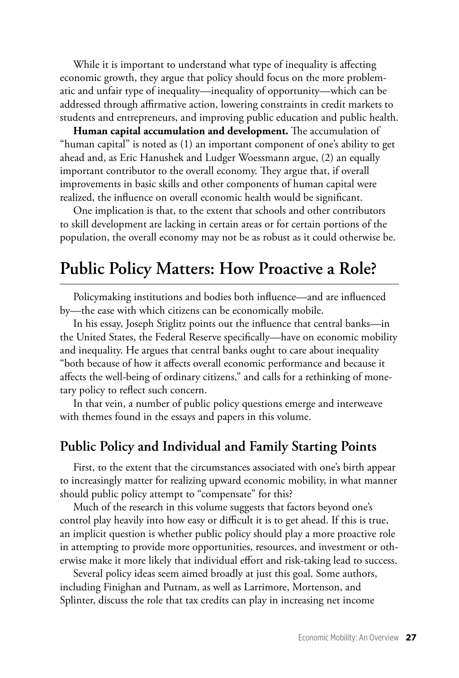While it is important to understand what type of inequality is affecting economic growth, they argue that policy should focus on the more problematic and unfair type of inequality—inequality of opportunity—which can be addressed through affirmative action, lowering constraints in credit markets to students and entrepreneurs, and improving public education and public health.

**Human capital accumulation and development.** The accumulation of "human capital" is noted as (1) an important component of one's ability to get ahead and, as Eric Hanushek and Ludger Woessmann argue, (2) an equally important contributor to the overall economy. They argue that, if overall improvements in basic skills and other components of human capital were realized, the influence on overall economic health would be significant.

One implication is that, to the extent that schools and other contributors to skill development are lacking in certain areas or for certain portions of the population, the overall economy may not be as robust as it could otherwise be.

## **Public Policy Matters: How Proactive a Role?**

Policymaking institutions and bodies both influence—and are influenced by—the ease with which citizens can be economically mobile.

In his essay, Joseph Stiglitz points out the influence that central banks—in the United States, the Federal Reserve specifically—have on economic mobility and inequality. He argues that central banks ought to care about inequality "both because of how it affects overall economic performance and because it affects the well-being of ordinary citizens," and calls for a rethinking of monetary policy to reflect such concern.

In that vein, a number of public policy questions emerge and interweave with themes found in the essays and papers in this volume.

#### **Public Policy and Individual and Family Starting Points**

First, to the extent that the circumstances associated with one's birth appear to increasingly matter for realizing upward economic mobility, in what manner should public policy attempt to "compensate" for this?

Much of the research in this volume suggests that factors beyond one's control play heavily into how easy or difficult it is to get ahead. If this is true, an implicit question is whether public policy should play a more proactive role in attempting to provide more opportunities, resources, and investment or otherwise make it more likely that individual effort and risk-taking lead to success.

Several policy ideas seem aimed broadly at just this goal. Some authors, including Finighan and Putnam, as well as Larrimore, Mortenson, and Splinter, discuss the role that tax credits can play in increasing net income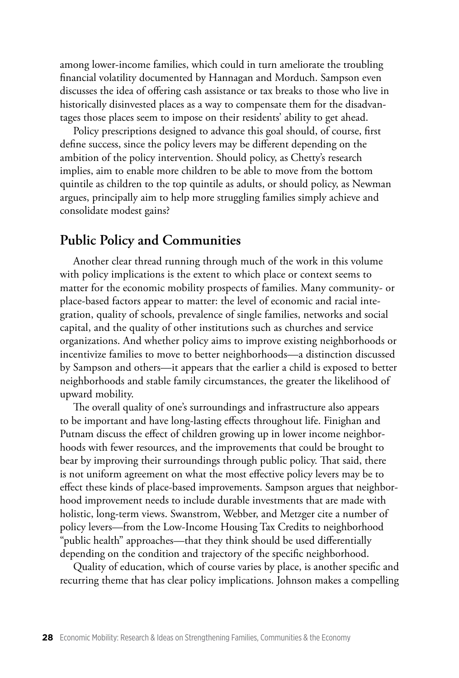among lower-income families, which could in turn ameliorate the troubling financial volatility documented by Hannagan and Morduch. Sampson even discusses the idea of offering cash assistance or tax breaks to those who live in historically disinvested places as a way to compensate them for the disadvantages those places seem to impose on their residents' ability to get ahead.

Policy prescriptions designed to advance this goal should, of course, first define success, since the policy levers may be different depending on the ambition of the policy intervention. Should policy, as Chetty's research implies, aim to enable more children to be able to move from the bottom quintile as children to the top quintile as adults, or should policy, as Newman argues, principally aim to help more struggling families simply achieve and consolidate modest gains?

#### **Public Policy and Communities**

Another clear thread running through much of the work in this volume with policy implications is the extent to which place or context seems to matter for the economic mobility prospects of families. Many community- or place-based factors appear to matter: the level of economic and racial integration, quality of schools, prevalence of single families, networks and social capital, and the quality of other institutions such as churches and service organizations. And whether policy aims to improve existing neighborhoods or incentivize families to move to better neighborhoods—a distinction discussed by Sampson and others—it appears that the earlier a child is exposed to better neighborhoods and stable family circumstances, the greater the likelihood of upward mobility.

The overall quality of one's surroundings and infrastructure also appears to be important and have long-lasting effects throughout life. Finighan and Putnam discuss the effect of children growing up in lower income neighborhoods with fewer resources, and the improvements that could be brought to bear by improving their surroundings through public policy. That said, there is not uniform agreement on what the most effective policy levers may be to effect these kinds of place-based improvements. Sampson argues that neighborhood improvement needs to include durable investments that are made with holistic, long-term views. Swanstrom, Webber, and Metzger cite a number of policy levers—from the Low-Income Housing Tax Credits to neighborhood "public health" approaches—that they think should be used differentially depending on the condition and trajectory of the specific neighborhood.

Quality of education, which of course varies by place, is another specific and recurring theme that has clear policy implications. Johnson makes a compelling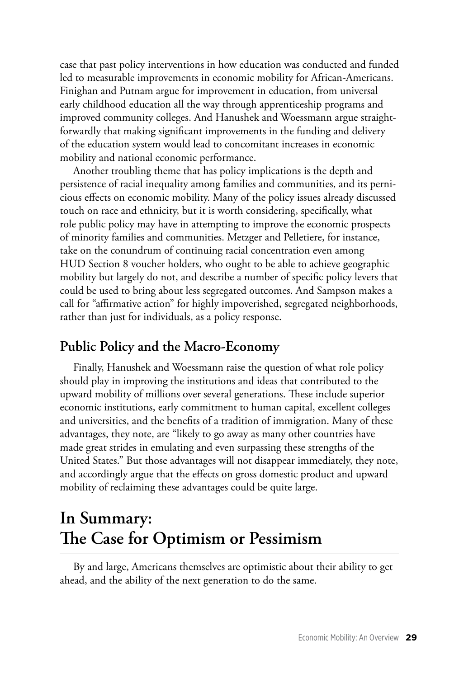case that past policy interventions in how education was conducted and funded led to measurable improvements in economic mobility for African-Americans. Finighan and Putnam argue for improvement in education, from universal early childhood education all the way through apprenticeship programs and improved community colleges. And Hanushek and Woessmann argue straightforwardly that making significant improvements in the funding and delivery of the education system would lead to concomitant increases in economic mobility and national economic performance.

Another troubling theme that has policy implications is the depth and persistence of racial inequality among families and communities, and its pernicious effects on economic mobility. Many of the policy issues already discussed touch on race and ethnicity, but it is worth considering, specifically, what role public policy may have in attempting to improve the economic prospects of minority families and communities. Metzger and Pelletiere, for instance, take on the conundrum of continuing racial concentration even among HUD Section 8 voucher holders, who ought to be able to achieve geographic mobility but largely do not, and describe a number of specific policy levers that could be used to bring about less segregated outcomes. And Sampson makes a call for "affirmative action" for highly impoverished, segregated neighborhoods, rather than just for individuals, as a policy response.

#### **Public Policy and the Macro-Economy**

Finally, Hanushek and Woessmann raise the question of what role policy should play in improving the institutions and ideas that contributed to the upward mobility of millions over several generations. These include superior economic institutions, early commitment to human capital, excellent colleges and universities, and the benefits of a tradition of immigration. Many of these advantages, they note, are "likely to go away as many other countries have made great strides in emulating and even surpassing these strengths of the United States." But those advantages will not disappear immediately, they note, and accordingly argue that the effects on gross domestic product and upward mobility of reclaiming these advantages could be quite large.

# **In Summary: The Case for Optimism or Pessimism**

By and large, Americans themselves are optimistic about their ability to get ahead, and the ability of the next generation to do the same.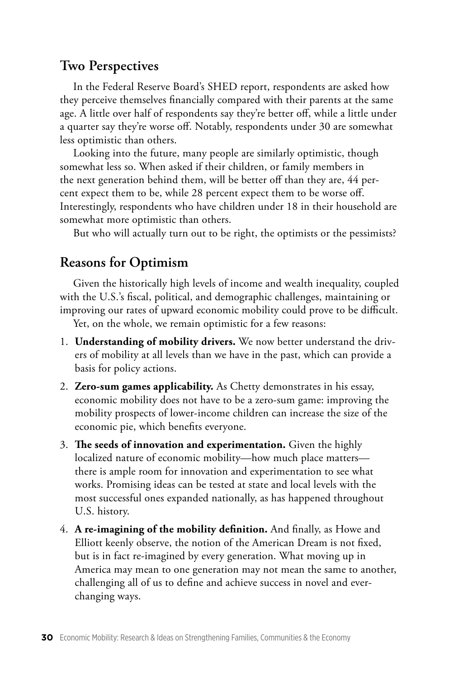#### **Two Perspectives**

In the Federal Reserve Board's SHED report, respondents are asked how they perceive themselves financially compared with their parents at the same age. A little over half of respondents say they're better off, while a little under a quarter say they're worse off. Notably, respondents under 30 are somewhat less optimistic than others.

Looking into the future, many people are similarly optimistic, though somewhat less so. When asked if their children, or family members in the next generation behind them, will be better off than they are, 44 percent expect them to be, while 28 percent expect them to be worse off. Interestingly, respondents who have children under 18 in their household are somewhat more optimistic than others.

But who will actually turn out to be right, the optimists or the pessimists?

#### **Reasons for Optimism**

Given the historically high levels of income and wealth inequality, coupled with the U.S.'s fiscal, political, and demographic challenges, maintaining or improving our rates of upward economic mobility could prove to be difficult.

Yet, on the whole, we remain optimistic for a few reasons:

- 1. **Understanding of mobility drivers.** We now better understand the drivers of mobility at all levels than we have in the past, which can provide a basis for policy actions.
- 2. **Zero-sum games applicability.** As Chetty demonstrates in his essay, economic mobility does not have to be a zero-sum game: improving the mobility prospects of lower-income children can increase the size of the economic pie, which benefits everyone.
- 3. **The seeds of innovation and experimentation.** Given the highly localized nature of economic mobility—how much place matters there is ample room for innovation and experimentation to see what works. Promising ideas can be tested at state and local levels with the most successful ones expanded nationally, as has happened throughout U.S. history.
- 4. **A re-imagining of the mobility definition.** And finally, as Howe and Elliott keenly observe, the notion of the American Dream is not fixed, but is in fact re-imagined by every generation. What moving up in America may mean to one generation may not mean the same to another, challenging all of us to define and achieve success in novel and everchanging ways.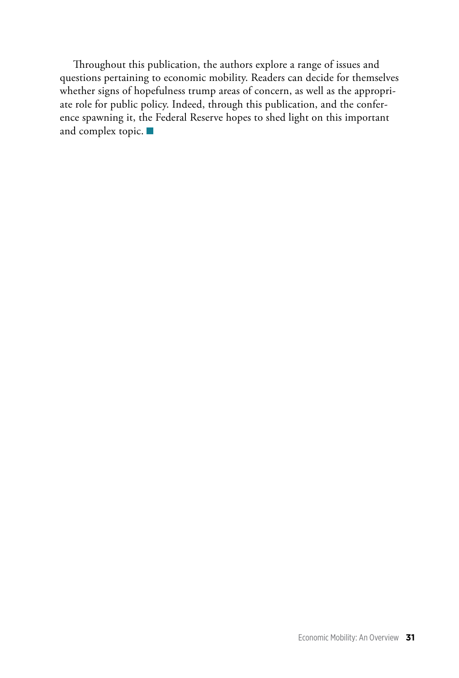Throughout this publication, the authors explore a range of issues and questions pertaining to economic mobility. Readers can decide for themselves whether signs of hopefulness trump areas of concern, as well as the appropriate role for public policy. Indeed, through this publication, and the conference spawning it, the Federal Reserve hopes to shed light on this important and complex topic.